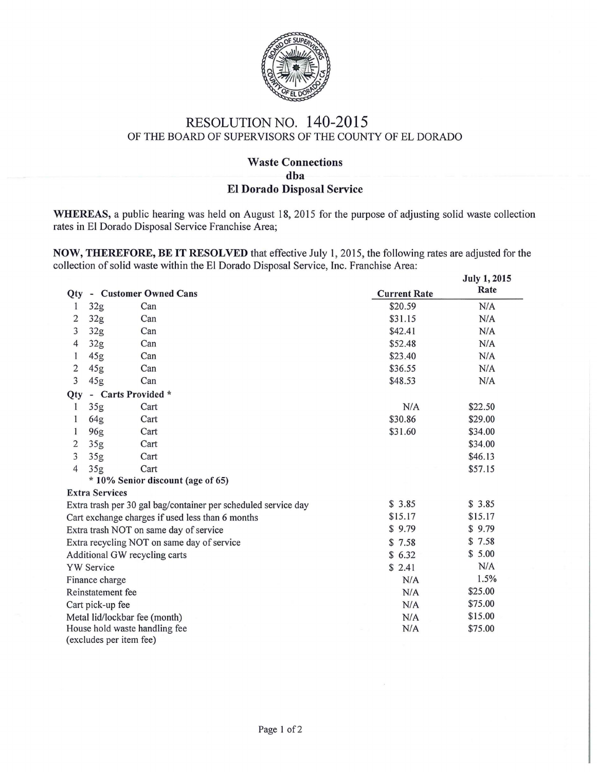

## RESOLUTION NO. 140-2015 OF THE BOARD OF SUPERVISORS OF THE COUNTY OF EL DORADO

## Waste Connections dba EI Dorado Disposal Service

WHEREAS, a public hearing was held on August 18, 2015 for the purpose of adjusting solid waste collection rates in El Dorado Disposal Service Franchise Area;

NOW, THEREFORE, BE IT RESOLVED that effective July 1, 2015, the following rates are adjusted for the collection of solid waste within the El Dorado Disposal Service, Inc. Franchise Area:

|                                                                          |                                   |      |                     | <b>July 1, 2015</b> |  |  |  |  |
|--------------------------------------------------------------------------|-----------------------------------|------|---------------------|---------------------|--|--|--|--|
| Qty - Customer Owned Cans                                                |                                   |      | <b>Current Rate</b> | Rate                |  |  |  |  |
| 1                                                                        | 32g                               | Can  | \$20.59             | N/A                 |  |  |  |  |
| 2                                                                        | 32g                               | Can  | \$31.15             | N/A                 |  |  |  |  |
| 3                                                                        | 32g                               | Can  | \$42.41             | N/A                 |  |  |  |  |
| 4                                                                        | 32g                               | Can  | \$52.48             | N/A                 |  |  |  |  |
| 1                                                                        | 45g                               | Can  | \$23.40             | N/A                 |  |  |  |  |
| 2                                                                        | 45g                               | Can  | \$36.55             | N/A                 |  |  |  |  |
| 3                                                                        | 45g                               | Can  | \$48.53             | N/A                 |  |  |  |  |
| Qty                                                                      | - Carts Provided *                |      |                     |                     |  |  |  |  |
| 1                                                                        | 35g                               | Cart | N/A                 | \$22.50             |  |  |  |  |
| 1                                                                        | 64g                               | Cart | \$30.86             | \$29.00             |  |  |  |  |
| 1                                                                        | 96g                               | Cart | \$31.60             | \$34.00             |  |  |  |  |
| $\overline{2}$                                                           | 35g                               | Cart |                     | \$34.00             |  |  |  |  |
| 3                                                                        | 35g                               | Cart |                     | \$46.13             |  |  |  |  |
| $\overline{4}$                                                           | 35g                               | Cart |                     | \$57.15             |  |  |  |  |
|                                                                          | * 10% Senior discount (age of 65) |      |                     |                     |  |  |  |  |
|                                                                          | <b>Extra Services</b>             |      |                     | \$3.85              |  |  |  |  |
| \$3.85<br>Extra trash per 30 gal bag/container per scheduled service day |                                   |      |                     |                     |  |  |  |  |
| \$15.17<br>Cart exchange charges if used less than 6 months              |                                   |      |                     | \$15.17<br>\$9.79   |  |  |  |  |
| \$9.79<br>Extra trash NOT on same day of service                         |                                   |      |                     |                     |  |  |  |  |
| Extra recycling NOT on same day of service<br>\$7.58                     |                                   |      |                     |                     |  |  |  |  |
| Additional GW recycling carts                                            | \$5.00                            |      |                     |                     |  |  |  |  |
| <b>YW</b> Service                                                        | N/A                               |      |                     |                     |  |  |  |  |
| Finance charge                                                           | N/A                               | 1.5% |                     |                     |  |  |  |  |
| Reinstatement fee                                                        | \$25.00                           |      |                     |                     |  |  |  |  |
| Cart pick-up fee                                                         | \$75.00                           |      |                     |                     |  |  |  |  |
| Metal lid/lockbar fee (month)<br>N/A                                     |                                   |      |                     |                     |  |  |  |  |
| House hold waste handling fee<br>N/A                                     |                                   |      |                     |                     |  |  |  |  |
| (excludes per item fee)                                                  |                                   |      |                     |                     |  |  |  |  |